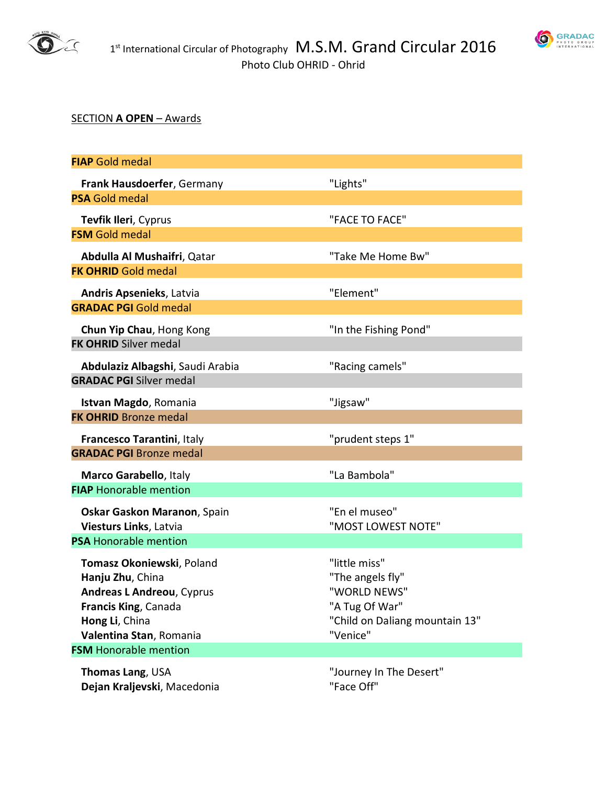



## SECTION **A OPEN** – Awards

| <b>FIAP</b> Gold medal                                                                                                                          |                                                                                                                   |
|-------------------------------------------------------------------------------------------------------------------------------------------------|-------------------------------------------------------------------------------------------------------------------|
| Frank Hausdoerfer, Germany                                                                                                                      | "Lights"                                                                                                          |
| <b>PSA Gold medal</b>                                                                                                                           |                                                                                                                   |
| Tevfik Ileri, Cyprus                                                                                                                            | "FACE TO FACE"                                                                                                    |
| <b>FSM Gold medal</b>                                                                                                                           |                                                                                                                   |
| Abdulla Al Mushaifri, Qatar                                                                                                                     | "Take Me Home Bw"                                                                                                 |
| <b>FK OHRID Gold medal</b>                                                                                                                      |                                                                                                                   |
| <b>Andris Apsenieks, Latvia</b>                                                                                                                 | "Element"                                                                                                         |
| <b>GRADAC PGI Gold medal</b>                                                                                                                    |                                                                                                                   |
| Chun Yip Chau, Hong Kong<br><b>FK OHRID Silver medal</b>                                                                                        | "In the Fishing Pond"                                                                                             |
| Abdulaziz Albagshi, Saudi Arabia<br><b>GRADAC PGI Silver medal</b>                                                                              | "Racing camels"                                                                                                   |
| Istvan Magdo, Romania<br><b>FK OHRID Bronze medal</b>                                                                                           | "Jigsaw"                                                                                                          |
| Francesco Tarantini, Italy                                                                                                                      | "prudent steps 1"                                                                                                 |
| <b>GRADAC PGI Bronze medal</b>                                                                                                                  |                                                                                                                   |
| Marco Garabello, Italy                                                                                                                          | "La Bambola"                                                                                                      |
| <b>FIAP Honorable mention</b>                                                                                                                   |                                                                                                                   |
| Oskar Gaskon Maranon, Spain<br>Viesturs Links, Latvia                                                                                           | "En el museo"<br>"MOST LOWEST NOTE"                                                                               |
| <b>PSA Honorable mention</b>                                                                                                                    |                                                                                                                   |
| Tomasz Okoniewski, Poland<br>Hanju Zhu, China<br>Andreas L Andreou, Cyprus<br>Francis King, Canada<br>Hong Li, China<br>Valentina Stan, Romania | "little miss"<br>"The angels fly"<br>"WORLD NEWS"<br>"A Tug Of War"<br>"Child on Daliang mountain 13"<br>"Venice" |
| <b>FSM</b> Honorable mention                                                                                                                    |                                                                                                                   |
| Thomas Lang, USA<br>Dejan Kraljevski, Macedonia                                                                                                 | "Journey In The Desert"<br>"Face Off"                                                                             |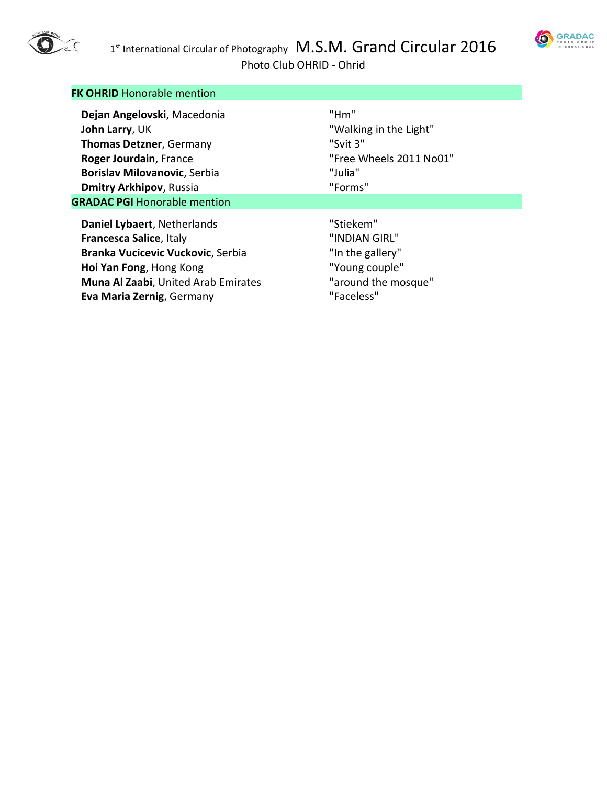



Photo Club OHRID - Ohrid

| <b>FK OHRID Honorable mention</b>           |                         |
|---------------------------------------------|-------------------------|
| Dejan Angelovski, Macedonia                 | "Hm"                    |
| <b>John Larry, UK</b>                       | "Walking in the Light"  |
| <b>Thomas Detzner, Germany</b>              | "Svit 3"                |
| Roger Jourdain, France                      | "Free Wheels 2011 No01" |
| <b>Borislav Milovanovic, Serbia</b>         | "Julia"                 |
| <b>Dmitry Arkhipov, Russia</b>              | "Forms"                 |
| <b>GRADAC PGI Honorable mention</b>         |                         |
| Daniel Lybaert, Netherlands                 | "Stiekem"               |
| Francesca Salice, Italy                     | "INDIAN GIRL"           |
| Branka Vucicevic Vuckovic, Serbia           | "In the gallery"        |
| Hoi Yan Fong, Hong Kong                     | "Young couple"          |
| <b>Muna Al Zaabi</b> , United Arab Emirates | "around the mosque"     |
| Eva Maria Zernig, Germany                   | "Faceless"              |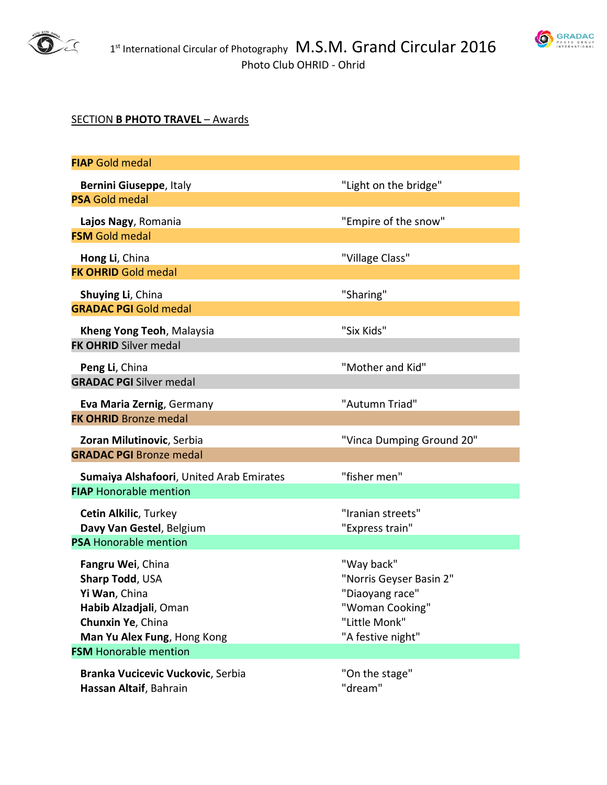



## SECTION **B PHOTO TRAVEL** – Awards

| <b>FIAP</b> Gold medal                                      |                           |
|-------------------------------------------------------------|---------------------------|
| Bernini Giuseppe, Italy                                     | "Light on the bridge"     |
| <b>PSA Gold medal</b>                                       |                           |
| Lajos Nagy, Romania                                         | "Empire of the snow"      |
| <b>FSM</b> Gold medal                                       |                           |
| Hong Li, China                                              | "Village Class"           |
| <b>FK OHRID Gold medal</b>                                  |                           |
| Shuying Li, China                                           | "Sharing"                 |
| <b>GRADAC PGI Gold medal</b>                                |                           |
| Kheng Yong Teoh, Malaysia                                   | "Six Kids"                |
| <b>FK OHRID Silver medal</b>                                |                           |
| Peng Li, China                                              | "Mother and Kid"          |
| <b>GRADAC PGI Silver medal</b>                              |                           |
| Eva Maria Zernig, Germany                                   | "Autumn Triad"            |
| <b>FK OHRID Bronze medal</b>                                |                           |
| Zoran Milutinovic, Serbia                                   | "Vinca Dumping Ground 20" |
| <b>GRADAC PGI Bronze medal</b>                              |                           |
| Sumaiya Alshafoori, United Arab Emirates                    | "fisher men"              |
| <b>FIAP Honorable mention</b>                               |                           |
| <b>Cetin Alkilic, Turkey</b>                                | "Iranian streets"         |
| Davy Van Gestel, Belgium<br><b>PSA Honorable mention</b>    | "Express train"           |
|                                                             | "Way back"                |
| Fangru Wei, China<br>Sharp Todd, USA                        | "Norris Geyser Basin 2"   |
| Yi Wan. China                                               | "Diaoyang race"           |
| Habib Alzadjali, Oman                                       | "Woman Cooking"           |
| Chunxin Ye, China                                           | "Little Monk"             |
| Man Yu Alex Fung, Hong Kong<br><b>FSM</b> Honorable mention | "A festive night"         |
| Branka Vucicevic Vuckovic, Serbia                           | "On the stage"            |
| Hassan Altaif, Bahrain                                      | "dream"                   |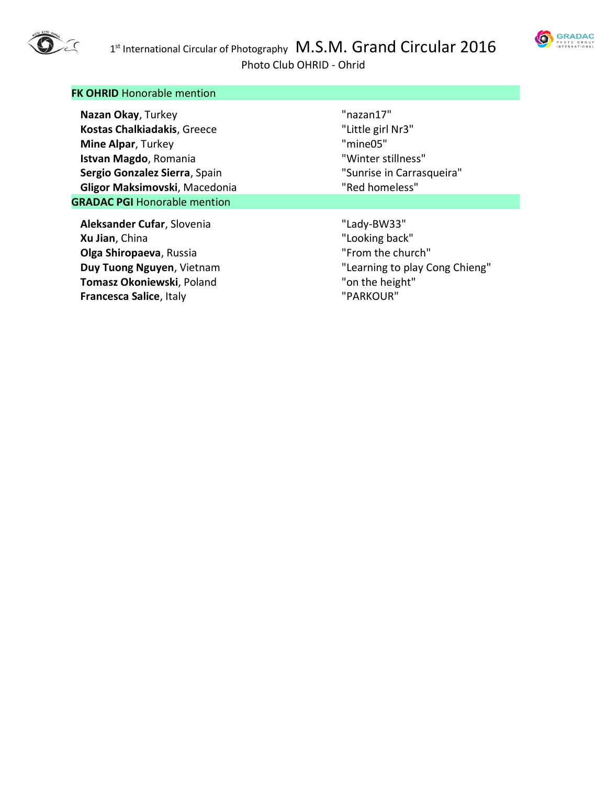

Photo Club OHRID - Ohrid

| <b>FK OHRID Honorable mention</b>   |                                |
|-------------------------------------|--------------------------------|
| Nazan Okay, Turkey                  | "nazan17"                      |
| <b>Kostas Chalkiadakis, Greece</b>  | "Little girl Nr3"              |
| Mine Alpar, Turkey                  | "mine05"                       |
| Istvan Magdo, Romania               | "Winter stillness"             |
| Sergio Gonzalez Sierra, Spain       | "Sunrise in Carrasqueira"      |
| Gligor Maksimovski, Macedonia       | "Red homeless"                 |
| <b>GRADAC PGI Honorable mention</b> |                                |
| Aleksander Cufar, Slovenia          | "Lady-BW33"                    |
| Xu Jian, China                      | "Looking back"                 |
| Olga Shiropaeva, Russia             | "From the church"              |
| Duy Tuong Nguyen, Vietnam           | "Learning to play Cong Chieng" |
| Tomasz Okoniewski, Poland           | "on the height"                |
| <b>Francesca Salice, Italy</b>      | "PARKOUR"                      |

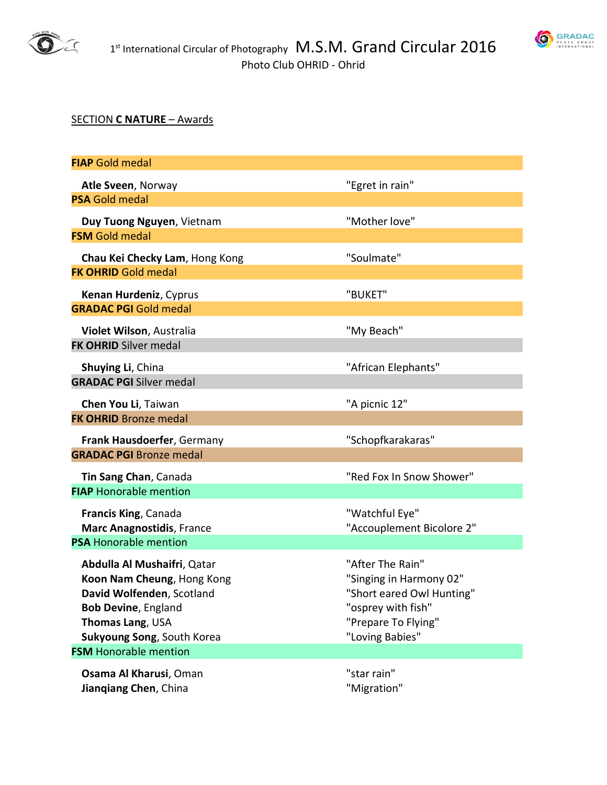



## SECTION **C NATURE** – Awards

| <b>FIAP</b> Gold medal                                                                                                                                                                                 |                                                                                                                                          |
|--------------------------------------------------------------------------------------------------------------------------------------------------------------------------------------------------------|------------------------------------------------------------------------------------------------------------------------------------------|
| Atle Sveen, Norway                                                                                                                                                                                     | "Egret in rain"                                                                                                                          |
| <b>PSA Gold medal</b>                                                                                                                                                                                  |                                                                                                                                          |
| Duy Tuong Nguyen, Vietnam<br><b>FSM Gold medal</b>                                                                                                                                                     | "Mother love"                                                                                                                            |
| Chau Kei Checky Lam, Hong Kong                                                                                                                                                                         | "Soulmate"                                                                                                                               |
| <b>FK OHRID Gold medal</b>                                                                                                                                                                             |                                                                                                                                          |
| Kenan Hurdeniz, Cyprus<br><b>GRADAC PGI Gold medal</b>                                                                                                                                                 | "BUKET"                                                                                                                                  |
| Violet Wilson, Australia<br><b>FK OHRID Silver medal</b>                                                                                                                                               | "My Beach"                                                                                                                               |
| Shuying Li, China<br><b>GRADAC PGI Silver medal</b>                                                                                                                                                    | "African Elephants"                                                                                                                      |
| Chen You Li, Taiwan<br><b>FK OHRID Bronze medal</b>                                                                                                                                                    | "A picnic 12"                                                                                                                            |
| Frank Hausdoerfer, Germany<br><b>GRADAC PGI Bronze medal</b>                                                                                                                                           | "Schopfkarakaras"                                                                                                                        |
| Tin Sang Chan, Canada<br><b>FIAP Honorable mention</b>                                                                                                                                                 | "Red Fox In Snow Shower"                                                                                                                 |
| Francis King, Canada<br><b>Marc Anagnostidis, France</b><br><b>PSA Honorable mention</b>                                                                                                               | "Watchful Eye"<br>"Accouplement Bicolore 2"                                                                                              |
| Abdulla Al Mushaifri, Qatar<br>Koon Nam Cheung, Hong Kong<br>David Wolfenden, Scotland<br><b>Bob Devine, England</b><br>Thomas Lang, USA<br>Sukyoung Song, South Korea<br><b>FSM</b> Honorable mention | "After The Rain"<br>"Singing in Harmony 02"<br>"Short eared Owl Hunting"<br>"osprey with fish"<br>"Prepare To Flying"<br>"Loving Babies" |
| Osama Al Kharusi, Oman<br>Jiangiang Chen, China                                                                                                                                                        | "star rain"<br>"Migration"                                                                                                               |